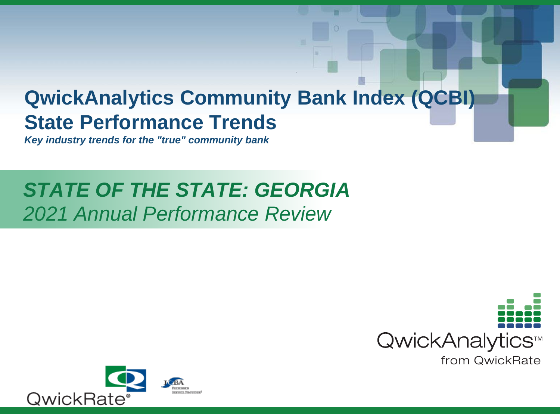# **QwickAnalytics Community Bank Index (QCBI) State Performance Trends**

**Key industry trends for the "true" community bank**

# **STATE OF THE STATE: GEORGIA** 2021 Annual Performance Review



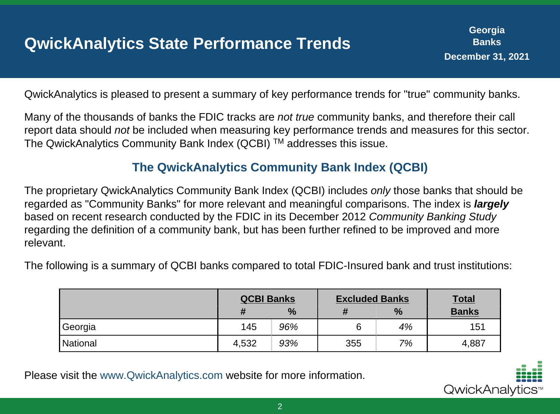## **QwickAnalytics State Performance Trends**

QwickAnalytics is pleased to present a summary of key performance trends for "true" community banks.

Many of the thousands of banks the FDIC tracks are not true community banks, and therefore their call report data should not be included when measuring key performance trends and measures for this sector. The QwickAnalytics Community Bank Index (QCBI)  $TM$  addresses this issue.

#### **The QwickAnalytics Community Bank Index (QCBI)**

The proprietary QwickAnalytics Community Bank Index (QCBI) includes only those banks that should be regarded as "Community Banks" for more relevant and meaningful comparisons. The index is **largely** based on recent research conducted by the FDIC in its December 2012 Community Banking Study regarding the definition of a community bank, but has been further refined to be improved and more relevant.

The following is a summary of QCBI banks compared to total FDIC-Insured bank and trust institutions:

|          | <b>QCBI Banks</b> |      | <b>Excluded Banks</b> |      | <b>Total</b> |
|----------|-------------------|------|-----------------------|------|--------------|
|          |                   | $\%$ |                       | $\%$ | <b>Banks</b> |
| 'Georgia | 145               | 96%  |                       | 4%   | 151          |
| National | 4,532             | 93%  | 355                   | 7%   | 4,887        |

Please visit the www.QwickAnalytics.com website for more information.

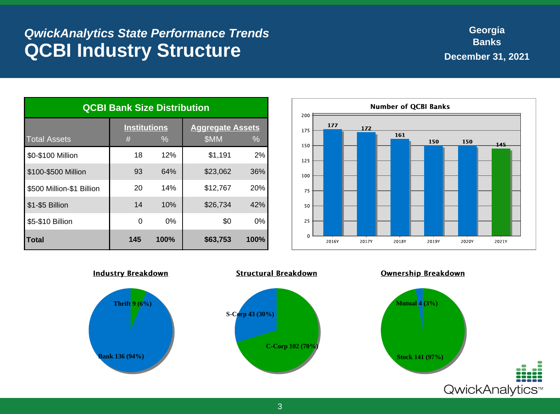#### **QwickAnalytics State Performance Trends QCBI Industry Structure**

| <b>QCBI Bank Size Distribution</b> |                                           |      |                                 |               |  |
|------------------------------------|-------------------------------------------|------|---------------------------------|---------------|--|
| <b>Total Assets</b>                | <b>Institutions</b><br>#<br>$\frac{0}{0}$ |      | <b>Aggregate Assets</b><br>\$MM | $\frac{0}{0}$ |  |
| \$0-\$100 Million                  | 18                                        | 12%  | \$1,191                         | 2%            |  |
| \$100-\$500 Million                | 93                                        | 64%  | \$23,062                        | 36%           |  |
| \$500 Million-\$1 Billion          | 20                                        | 14%  | \$12,767                        | 20%           |  |
| \$1-\$5 Billion                    | 14                                        | 10%  | \$26,734                        | 42%           |  |
| \$5-\$10 Billion                   | $\Omega$                                  | 0%   | \$0                             | $0\%$         |  |
| Total                              | 145                                       | 100% | \$63,753                        | 100%          |  |



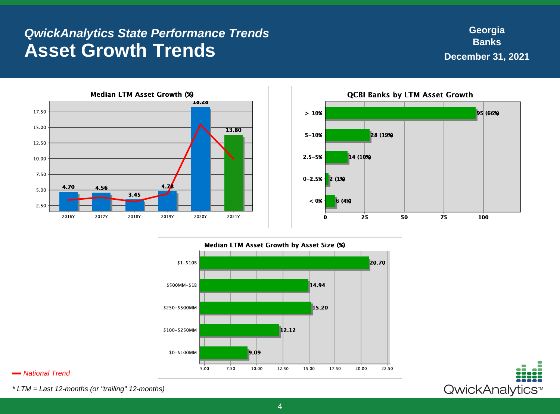#### **QwickAnalytics State Performance Trends Asset Growth Trends**





#### **National Trend**

\* LTM = Last 12-months (or "trailing" 12-months)

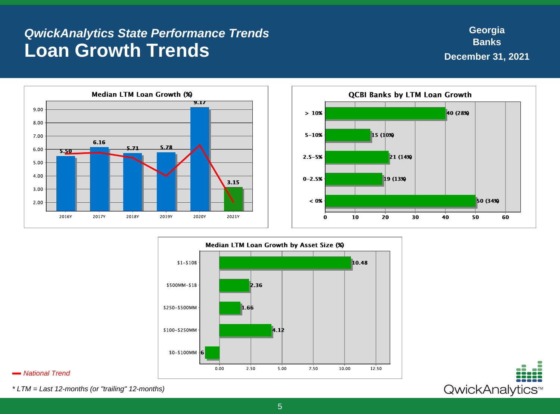#### **QwickAnalytics State Performance Trends Loan Growth Trends**

**Georgia Banks December 31, 2021**







#### **National Trend**

\* LTM = Last 12-months (or "trailing" 12-months)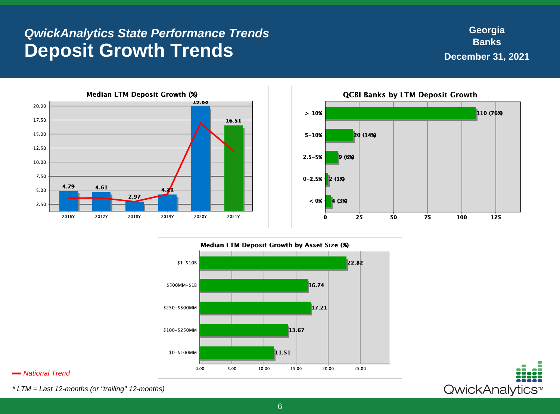#### **QwickAnalytics State Performance Trends Deposit Growth Trends**

110 (76%)

125

75

100





#### **National Trend**

\* LTM = Last 12-months (or "trailing" 12-months)

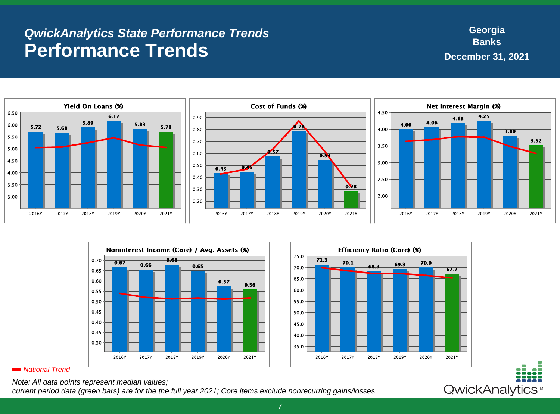#### **QwickAnalytics State Performance Trends Performance Trends**

**Georgia Banks December 31, 2021**







#### **National Trend**

Note: All data points represent median values;

current period data (green bars) are for the the full year 2021; Core items exclude nonrecurring gains/losses

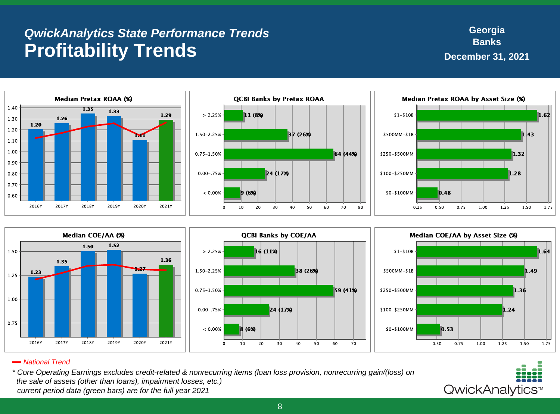## **QwickAnalytics State Performance Trends Profitability Trends**

**Georgia Banks December 31, 2021**













#### **National Trend**

\* Core Operating Earnings excludes credit-related & nonrecurring items (loan loss provision, nonrecurring gain/(loss) on the sale of assets (other than loans), impairment losses, etc.) current period data (green bars) are for the full year 2021

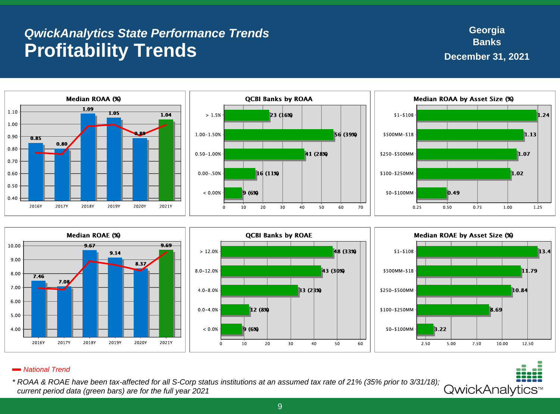## **QwickAnalytics State Performance Trends Profitability Trends**









#### **National Trend**

\* ROAA & ROAE have been tax-affected for all S-Corp status institutions at an assumed tax rate of 21% (35% prior to 3/31/18); current period data (green bars) are for the full year 2021

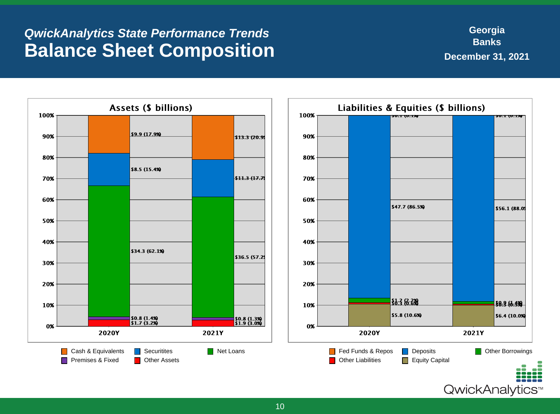#### **QwickAnalytics State Performance Trends Balance Sheet Composition**

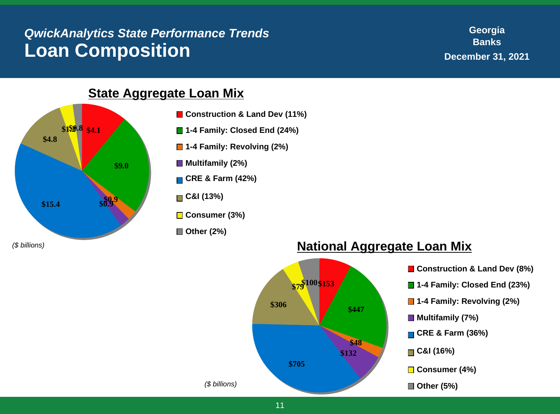### **QwickAnalytics State Performance Trends Loan Composition**

**Georgia Banks December 31, 2021**

**State Aggregate Loan Mix**



- **1-4 Family: Closed End (24%)**
- **1-4 Family: Revolving (2%)**



#### **Multifamily (2%)**

**CRE & Farm (42%)**



**Consumer (3%)**

**Other (2%)**



#### (\$ billions) **National Aggregate Loan Mix**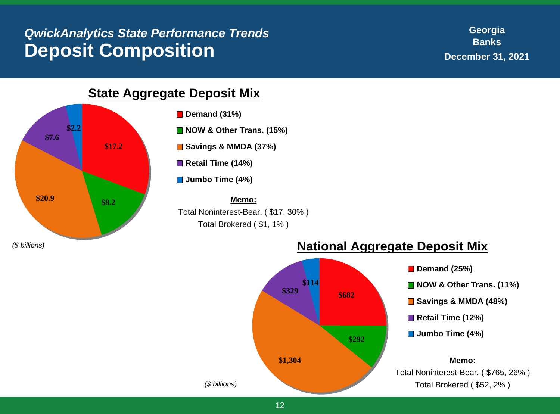#### **QwickAnalytics State Performance Trends Deposit Composition**

**Georgia Banks December 31, 2021**

**\$17.2 \$20.9 \$8.2 \$7.6 \$2.2**

#### **State Aggregate Deposit Mix**

**Demand (31%)** 

■ **NOW & Other Trans. (15%)** 

**Savings & MMDA (37%)**

■ Retail Time (14%)

**Jumbo Time (4%)**

**Memo:** Total Noninterest-Bear. ( \$17, 30% ) Total Brokered ( \$1, 1% )



#### (\$ billions) **National Aggregate Deposit Mix**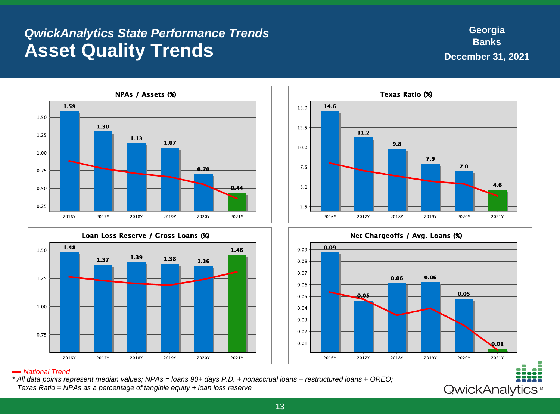#### **QwickAnalytics State Performance Trends Asset Quality Trends**

**Georgia Banks December 31, 2021**









#### **National Trend**

\* All data points represent median values; NPAs = loans 90+ days P.D. + nonaccrual loans + restructured loans + OREO; Texas Ratio = NPAs as a percentage of tangible equity + loan loss reserve

QwickAnalytics<sup>™</sup>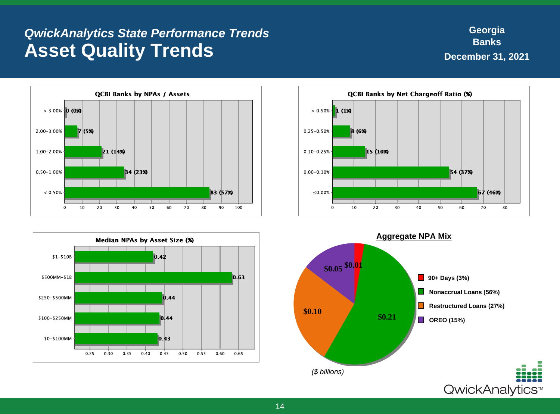#### **QwickAnalytics State Performance Trends Asset Quality Trends**

**Georgia Banks December 31, 2021**







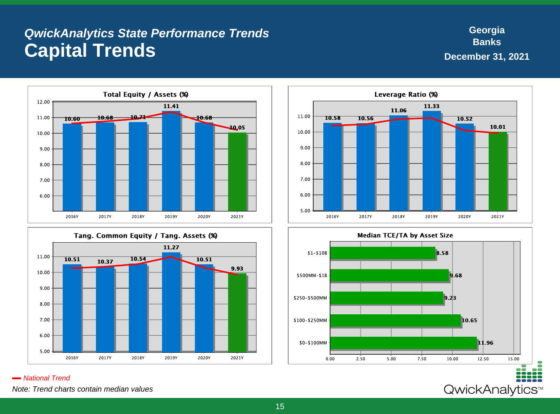#### **QwickAnalytics State Performance Trends Capital Trends**

**Georgia Banks December 31, 2021**

QwickAnalytics<sup>™</sup>





11.33 11.06 11.00 10.58 10.56  $10.52$ 10.01 10.00 9.00 8.00 7.00 6.00 5.00 2016Y 2017Y 2018Y 2019Y 2020Y 2021Y

Leverage Ratio (%)



**National Trend** Note: Trend charts contain median values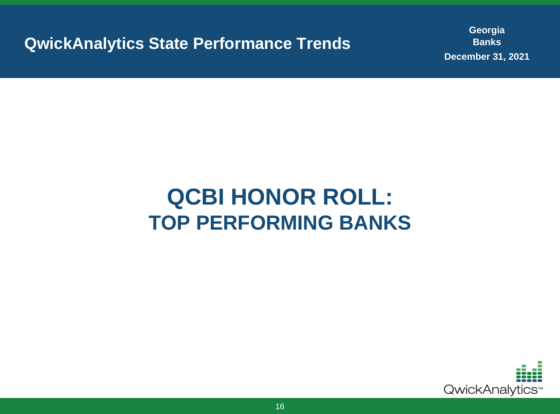**QwickAnalytics State Performance Trends**

**Georgia Banks December 31, 2021**

# **QCBI HONOR ROLL: TOP PERFORMING BANKS**

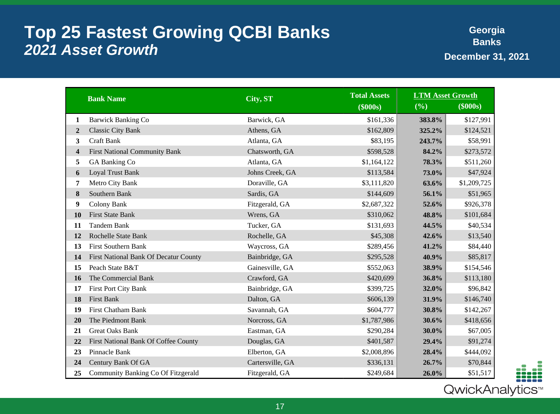### **Top 25 Fastest Growing QCBI Banks 2021 Asset Growth**

**Georgia Banks December 31, 2021**

|                  | <b>Bank Name</b>                      | City, ST         | <b>Total Assets</b> | <b>LTM Asset Growth</b> |             |
|------------------|---------------------------------------|------------------|---------------------|-------------------------|-------------|
|                  |                                       |                  | (\$000s)            | (%)                     | (\$000s)    |
| 1                | <b>Barwick Banking Co</b>             | Barwick, GA      | \$161,336           | 383.8%                  | \$127,991   |
| $\boldsymbol{2}$ | <b>Classic City Bank</b>              | Athens, GA       | \$162,809           | 325.2%                  | \$124,521   |
| 3                | <b>Craft Bank</b>                     | Atlanta, GA      | \$83,195            | 243.7%                  | \$58,991    |
| $\boldsymbol{4}$ | <b>First National Community Bank</b>  | Chatsworth, GA   | \$598,528           | 84.2%                   | \$273,572   |
| 5                | GA Banking Co                         | Atlanta, GA      | \$1,164,122         | 78.3%                   | \$511,260   |
| 6                | <b>Loyal Trust Bank</b>               | Johns Creek, GA  | \$113,584           | 73.0%                   | \$47,924    |
| 7                | Metro City Bank                       | Doraville, GA    | \$3,111,820         | 63.6%                   | \$1,209,725 |
| 8                | Southern Bank                         | Sardis, GA       | \$144,609           | 56.1%                   | \$51,965    |
| 9                | <b>Colony Bank</b>                    | Fitzgerald, GA   | \$2,687,322         | 52.6%                   | \$926,378   |
| 10               | <b>First State Bank</b>               | Wrens, GA        | \$310,062           | 48.8%                   | \$101,684   |
| 11               | <b>Tandem Bank</b>                    | Tucker, GA       | \$131,693           | 44.5%                   | \$40,534    |
| 12               | Rochelle State Bank                   | Rochelle, GA     | \$45,308            | 42.6%                   | \$13,540    |
| 13               | <b>First Southern Bank</b>            | Waycross, GA     | \$289,456           | 41.2%                   | \$84,440    |
| 14               | First National Bank Of Decatur County | Bainbridge, GA   | \$295,528           | 40.9%                   | \$85,817    |
| 15               | Peach State B&T                       | Gainesville, GA  | \$552,063           | 38.9%                   | \$154,546   |
| 16               | The Commercial Bank                   | Crawford, GA     | \$420,699           | 36.8%                   | \$113,180   |
| 17               | First Port City Bank                  | Bainbridge, GA   | \$399,725           | 32.0%                   | \$96,842    |
| 18               | <b>First Bank</b>                     | Dalton, GA       | \$606,139           | 31.9%                   | \$146,740   |
| 19               | <b>First Chatham Bank</b>             | Savannah, GA     | \$604,777           | 30.8%                   | \$142,267   |
| 20               | The Piedmont Bank                     | Norcross, GA     | \$1,787,986         | 30.6%                   | \$418,656   |
| 21               | <b>Great Oaks Bank</b>                | Eastman, GA      | \$290,284           | 30.0%                   | \$67,005    |
| <b>22</b>        | First National Bank Of Coffee County  | Douglas, GA      | \$401,587           | 29.4%                   | \$91,274    |
| 23               | Pinnacle Bank                         | Elberton, GA     | \$2,008,896         | 28.4%                   | \$444,092   |
| 24               | Century Bank Of GA                    | Cartersville, GA | \$336,131           | 26.7%                   | \$70,844    |
| 25               | Community Banking Co Of Fitzgerald    | Fitzgerald, GA   | \$249,684           | 26.0%                   | \$51,517    |



QwickAnalytics™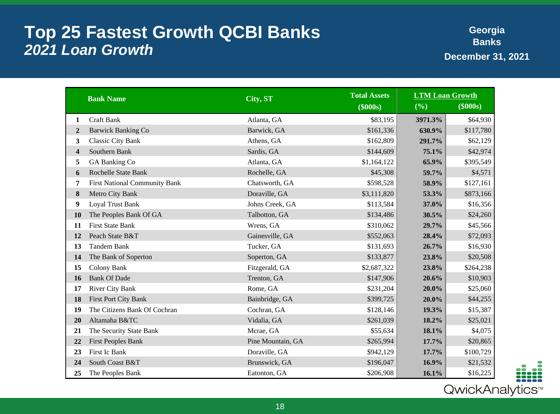### **Top 25 Fastest Growth QCBI Banks 2021 Loan Growth**

**Georgia Banks December 31, 2021**

|                  | <b>Bank Name</b>                     | City, ST          | <b>Total Assets</b> | <b>LTM Loan Growth</b> |           |
|------------------|--------------------------------------|-------------------|---------------------|------------------------|-----------|
|                  |                                      |                   | (\$000s)            | (%)                    | (\$000s)  |
| 1                | <b>Craft Bank</b>                    | Atlanta, GA       | \$83,195            | 3971.3%                | \$64,930  |
| $\boldsymbol{2}$ | <b>Barwick Banking Co</b>            | Barwick, GA       | \$161,336           | 630.9%                 | \$117,780 |
| 3                | <b>Classic City Bank</b>             | Athens, GA        | \$162,809           | 291.7%                 | \$62,129  |
| 4                | Southern Bank                        | Sardis, GA        | \$144,609           | 75.1%                  | \$42,974  |
| 5                | GA Banking Co                        | Atlanta, GA       | \$1,164,122         | 65.9%                  | \$395,549 |
| 6                | Rochelle State Bank                  | Rochelle, GA      | \$45,308            | 59.7%                  | \$4,571   |
| 7                | <b>First National Community Bank</b> | Chatsworth, GA    | \$598,528           | 58.9%                  | \$127,161 |
| 8                | Metro City Bank                      | Doraville, GA     | \$3,111,820         | 53.3%                  | \$873,166 |
| 9                | <b>Loyal Trust Bank</b>              | Johns Creek, GA   | \$113,584           | 37.0%                  | \$16,356  |
| 10               | The Peoples Bank Of GA               | Talbotton, GA     | \$134,486           | 30.5%                  | \$24,260  |
| 11               | <b>First State Bank</b>              | Wrens, GA         | \$310,062           | 29.7%                  | \$45,566  |
| 12               | Peach State B&T                      | Gainesville, GA   | \$552,063           | 28.4%                  | \$72,093  |
| 13               | <b>Tandem Bank</b>                   | Tucker, GA        | \$131,693           | 26.7%                  | \$16,930  |
| 14               | The Bank of Soperton                 | Soperton, GA      | \$133,877           | 23.8%                  | \$20,508  |
| 15               | Colony Bank                          | Fitzgerald, GA    | \$2,687,322         | 23.8%                  | \$264,238 |
| 16               | <b>Bank Of Dade</b>                  | Trenton, GA       | \$147,906           | 20.6%                  | \$10,903  |
| 17               | <b>River City Bank</b>               | Rome, GA          | \$231,204           | 20.0%                  | \$25,060  |
| 18               | First Port City Bank                 | Bainbridge, GA    | \$399,725           | 20.0%                  | \$44,255  |
| 19               | The Citizens Bank Of Cochran         | Cochran, GA       | \$128,146           | 19.3%                  | \$15,387  |
| 20               | Altamaha B&TC                        | Vidalia, GA       | \$261,039           | 18.2%                  | \$25,021  |
| 21               | The Security State Bank              | Mcrae, GA         | \$55,634            | 18.1%                  | \$4,075   |
| 22               | <b>First Peoples Bank</b>            | Pine Mountain, GA | \$265,994           | 17.7%                  | \$20,865  |
| 23               | First Ic Bank                        | Doraville, GA     | \$942,129           | 17.7%                  | \$100,729 |
| 24               | South Coast B&T                      | Brunswick, GA     | \$196,047           | 16.9%                  | \$21,532  |
| 25               | The Peoples Bank                     | Eatonton, GA      | \$206,908           | 16.1%                  | \$16,225  |



QwickAnalytics<sup>®</sup>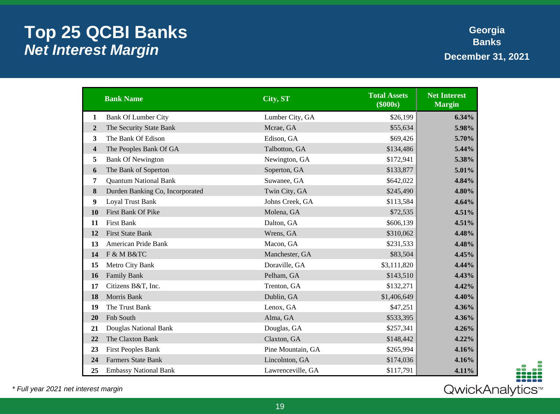## **Top 25 QCBI Banks Net Interest Margin**

**Georgia Banks December 31, 2021**

|                         | <b>Bank Name</b>                | City, ST          | <b>Total Assets</b><br>(\$000s) | <b>Net Interest</b><br><b>Margin</b> |
|-------------------------|---------------------------------|-------------------|---------------------------------|--------------------------------------|
| 1                       | <b>Bank Of Lumber City</b>      | Lumber City, GA   | \$26,199                        | 6.34%                                |
| $\overline{2}$          | The Security State Bank         | Mcrae, GA         | \$55,634                        | 5.98%                                |
| 3                       | The Bank Of Edison              | Edison, GA        | \$69,426                        | 5.70%                                |
| $\overline{\mathbf{4}}$ | The Peoples Bank Of GA          | Talbotton, GA     | \$134,486                       | 5.44%                                |
| 5                       | <b>Bank Of Newington</b>        | Newington, GA     | \$172,941                       | 5.38%                                |
| 6                       | The Bank of Soperton            | Soperton, GA      | \$133,877                       | 5.01%                                |
| 7                       | <b>Quantum National Bank</b>    | Suwanee, GA       | \$642,022                       | 4.84%                                |
| 8                       | Durden Banking Co, Incorporated | Twin City, GA     | \$245,490                       | 4.80%                                |
| 9                       | Loyal Trust Bank                | Johns Creek, GA   | \$113,584                       | 4.64%                                |
| 10                      | First Bank Of Pike              | Molena, GA        | \$72,535                        | 4.51%                                |
| 11                      | <b>First Bank</b>               | Dalton, GA        | \$606,139                       | 4.51%                                |
| 12                      | <b>First State Bank</b>         | Wrens, GA         | \$310,062                       | 4.48%                                |
| 13                      | American Pride Bank             | Macon, GA         | \$231,533                       | 4.48%                                |
| 14                      | F & M B&TC                      | Manchester, GA    | \$83,504                        | 4.45%                                |
| 15                      | Metro City Bank                 | Doraville, GA     | \$3,111,820                     | 4.44%                                |
| 16                      | <b>Family Bank</b>              | Pelham, GA        | \$143,510                       | 4.43%                                |
| 17                      | Citizens B&T, Inc.              | Trenton, GA       | \$132,271                       | 4.42%                                |
| 18                      | Morris Bank                     | Dublin, GA        | \$1,406,649                     | 4.40%                                |
| 19                      | The Trust Bank                  | Lenox, GA         | \$47,251                        | 4.36%                                |
| 20                      | Fnb South                       | Alma, GA          | \$533,395                       | 4.36%                                |
| 21                      | Douglas National Bank           | Douglas, GA       | \$257,341                       | 4.26%                                |
| 22                      | The Claxton Bank                | Claxton, GA       | \$148,442                       | 4.22%                                |
| 23                      | <b>First Peoples Bank</b>       | Pine Mountain, GA | \$265,994                       | 4.16%                                |
| 24                      | <b>Farmers State Bank</b>       | Lincolnton, GA    | \$174,036                       | 4.16%                                |
| 25                      | <b>Embassy National Bank</b>    | Lawrenceville, GA | \$117,791                       | 4.11%                                |

\* Full year 2021 net interest margin

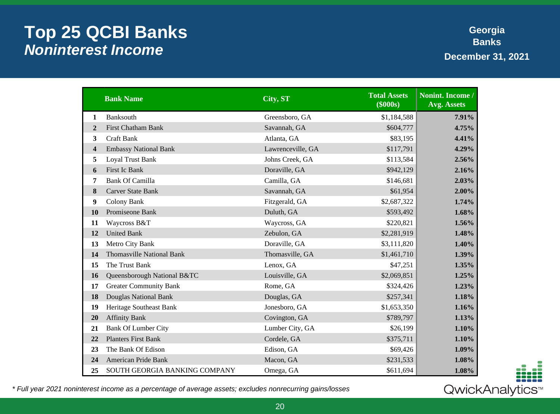### **Top 25 QCBI Banks Noninterest Income**

**Georgia Banks December 31, 2021**

|                | <b>Bank Name</b>                 | City, ST          | <b>Total Assets</b><br>(\$000s) | Nonint. Income /<br><b>Avg. Assets</b> |
|----------------|----------------------------------|-------------------|---------------------------------|----------------------------------------|
| $\mathbf{1}$   | <b>Banksouth</b>                 | Greensboro, GA    | \$1,184,588                     | 7.91%                                  |
| $\overline{2}$ | <b>First Chatham Bank</b>        | Savannah, GA      | \$604,777                       | 4.75%                                  |
| 3              | <b>Craft Bank</b>                | Atlanta, GA       | \$83,195                        | 4.41%                                  |
| 4              | <b>Embassy National Bank</b>     | Lawrenceville, GA | \$117,791                       | 4.29%                                  |
| 5              | Loyal Trust Bank                 | Johns Creek, GA   | \$113,584                       | 2.56%                                  |
| 6              | First Ic Bank                    | Doraville, GA     | \$942,129                       | 2.16%                                  |
| 7              | <b>Bank Of Camilla</b>           | Camilla, GA       | \$146,681                       | 2.03%                                  |
| 8              | <b>Carver State Bank</b>         | Savannah, GA      | \$61,954                        | 2.00%                                  |
| 9              | Colony Bank                      | Fitzgerald, GA    | \$2,687,322                     | 1.74%                                  |
| 10             | Promiseone Bank                  | Duluth, GA        | \$593,492                       | 1.68%                                  |
| 11             | Waycross B&T                     | Waycross, GA      | \$220,821                       | 1.56%                                  |
| 12             | <b>United Bank</b>               | Zebulon, GA       | \$2,281,919                     | 1.48%                                  |
| 13             | Metro City Bank                  | Doraville, GA     | \$3,111,820                     | 1.40%                                  |
| 14             | <b>Thomasville National Bank</b> | Thomasville, GA   | \$1,461,710                     | 1.39%                                  |
| 15             | The Trust Bank                   | Lenox, GA         | \$47,251                        | 1.35%                                  |
| 16             | Queensborough National B&TC      | Louisville, GA    | \$2,069,851                     | 1.25%                                  |
| 17             | <b>Greater Community Bank</b>    | Rome, GA          | \$324,426                       | 1.23%                                  |
| 18             | Douglas National Bank            | Douglas, GA       | \$257,341                       | 1.18%                                  |
| 19             | Heritage Southeast Bank          | Jonesboro, GA     | \$1,653,350                     | 1.16%                                  |
| 20             | <b>Affinity Bank</b>             | Covington, GA     | \$789,797                       | 1.13%                                  |
| 21             | <b>Bank Of Lumber City</b>       | Lumber City, GA   | \$26,199                        | 1.10%                                  |
| 22             | <b>Planters First Bank</b>       | Cordele, GA       | \$375,711                       | 1.10%                                  |
| 23             | The Bank Of Edison               | Edison, GA        | \$69,426                        | 1.09%                                  |
| 24             | American Pride Bank              | Macon, GA         | \$231,533                       | 1.08%                                  |
| 25             | SOUTH GEORGIA BANKING COMPANY    | Omega, GA         | \$611,694                       | 1.08%                                  |

QwickAnalytics<sup>™</sup>

\* Full year 2021 noninterest income as a percentage of average assets; excludes nonrecurring gains/losses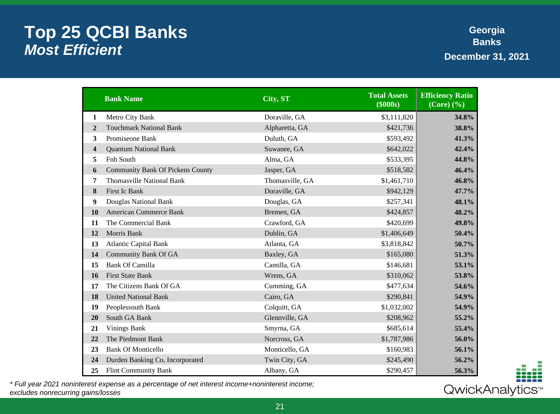#### **Top 25 QCBI Banks Most Efficient**

**Georgia Banks December 31, 2021**

|                | <b>Bank Name</b>                        | City, ST        | <b>Total Assets</b><br>(\$000s) | <b>Efficiency Ratio</b><br>$(Core)$ $(\frac{9}{6})$ |
|----------------|-----------------------------------------|-----------------|---------------------------------|-----------------------------------------------------|
| 1              | Metro City Bank                         | Doraville, GA   | \$3,111,820                     | 34.8%                                               |
| $\overline{2}$ | <b>Touchmark National Bank</b>          | Alpharetta, GA  | \$421,736                       | 38.8%                                               |
| 3              | Promiseone Bank                         | Duluth, GA      | \$593,492                       | 41.3%                                               |
| 4              | <b>Quantum National Bank</b>            | Suwanee, GA     | \$642,022                       | 42.4%                                               |
| 5              | Fnb South                               | Alma, GA        | \$533,395                       | 44.8%                                               |
| 6              | <b>Community Bank Of Pickens County</b> | Jasper, GA      | \$518,582                       | 46.4%                                               |
| 7              | <b>Thomasville National Bank</b>        | Thomasville, GA | \$1,461,710                     | 46.8%                                               |
| 8              | First Ic Bank                           | Doraville, GA   | \$942,129                       | 47.7%                                               |
| 9              | Douglas National Bank                   | Douglas, GA     | \$257,341                       | 48.1%                                               |
| 10             | <b>American Commerce Bank</b>           | Bremen, GA      | \$424,857                       | 48.2%                                               |
| 11             | The Commercial Bank                     | Crawford, GA    | \$420,699                       | 49.8%                                               |
| 12             | Morris Bank                             | Dublin, GA      | \$1,406,649                     | 50.4%                                               |
| 13             | <b>Atlantic Capital Bank</b>            | Atlanta, GA     | \$3,818,842                     | 50.7%                                               |
| 14             | <b>Community Bank Of GA</b>             | Baxley, GA      | \$165,080                       | 51.3%                                               |
| 15             | <b>Bank Of Camilla</b>                  | Camilla, GA     | \$146,681                       | 53.1%                                               |
| 16             | <b>First State Bank</b>                 | Wrens, GA       | \$310,062                       | 53.8%                                               |
| 17             | The Citizens Bank Of GA                 | Cumming, GA     | \$477,634                       | 54.6%                                               |
| 18             | <b>United National Bank</b>             | Cairo, GA       | \$290,841                       | 54.9%                                               |
| 19             | Peoplessouth Bank                       | Colquitt, GA    | \$1,032,002                     | 54.9%                                               |
| 20             | South GA Bank                           | Glennville, GA  | \$208,962                       | 55.2%                                               |
| 21             | <b>Vinings Bank</b>                     | Smyrna, GA      | \$685,614                       | 55.4%                                               |
| 22             | The Piedmont Bank                       | Norcross, GA    | \$1,787,986                     | 56.0%                                               |
| 23             | <b>Bank Of Monticello</b>               | Monticello, GA  | \$160,983                       | 56.1%                                               |
| 24             | Durden Banking Co, Incorporated         | Twin City, GA   | \$245,490                       | 56.2%                                               |
| 25             | <b>Flint Community Bank</b>             | Albany, GA      | \$290,457                       | 56.3%                                               |

\* Full year 2021 noninterest expense as a percentage of net interest income+noninterest income; excludes nonrecurring gains/losses

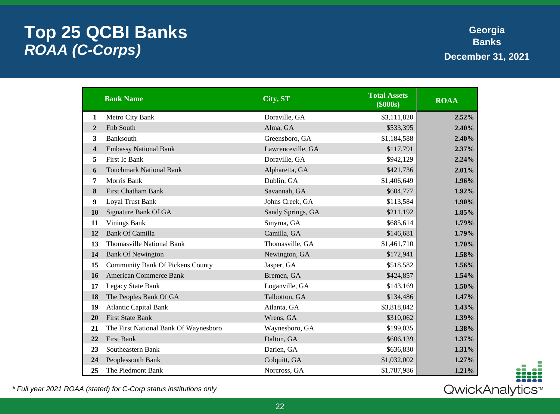## **Top 25 QCBI Banks ROAA (C-Corps)**

**Georgia Banks December 31, 2021**

|                | <b>Bank Name</b>                        | City, ST          | <b>Total Assets</b><br>(\$000s) | <b>ROAA</b> |
|----------------|-----------------------------------------|-------------------|---------------------------------|-------------|
| 1              | Metro City Bank                         | Doraville, GA     | \$3,111,820                     | 2.52%       |
| $\overline{2}$ | Fnb South                               | Alma, GA          | \$533,395                       | 2.40%       |
| 3              | <b>Banksouth</b>                        | Greensboro, GA    | \$1,184,588                     | 2.40%       |
| 4              | <b>Embassy National Bank</b>            | Lawrenceville, GA | \$117,791                       | 2.37%       |
| 5              | First Ic Bank                           | Doraville, GA     | \$942,129                       | 2.24%       |
| 6              | <b>Touchmark National Bank</b>          | Alpharetta, GA    | \$421,736                       | 2.01%       |
| 7              | Morris Bank                             | Dublin, GA        | \$1,406,649                     | 1.96%       |
| 8              | <b>First Chatham Bank</b>               | Savannah, GA      | \$604,777                       | 1.92%       |
| 9              | <b>Loyal Trust Bank</b>                 | Johns Creek, GA   | \$113,584                       | 1.90%       |
| 10             | Signature Bank Of GA                    | Sandy Springs, GA | \$211,192                       | 1.85%       |
| 11             | <b>Vinings Bank</b>                     | Smyrna, GA        | \$685,614                       | 1.79%       |
| 12             | <b>Bank Of Camilla</b>                  | Camilla, GA       | \$146,681                       | 1.79%       |
| 13             | <b>Thomasville National Bank</b>        | Thomasville, GA   | \$1,461,710                     | 1.70%       |
| 14             | <b>Bank Of Newington</b>                | Newington, GA     | \$172,941                       | 1.58%       |
| 15             | <b>Community Bank Of Pickens County</b> | Jasper, GA        | \$518,582                       | 1.56%       |
| 16             | <b>American Commerce Bank</b>           | Bremen, GA        | \$424,857                       | 1.54%       |
| 17             | <b>Legacy State Bank</b>                | Loganville, GA    | \$143,169                       | 1.50%       |
| 18             | The Peoples Bank Of GA                  | Talbotton, GA     | \$134,486                       | 1.47%       |
| 19             | <b>Atlantic Capital Bank</b>            | Atlanta, GA       | \$3,818,842                     | 1.43%       |
| 20             | <b>First State Bank</b>                 | Wrens, GA         | \$310,062                       | 1.39%       |
| 21             | The First National Bank Of Waynesboro   | Waynesboro, GA    | \$199,035                       | 1.38%       |
| 22             | <b>First Bank</b>                       | Dalton, GA        | \$606,139                       | 1.37%       |
| 23             | Southeastern Bank                       | Darien, GA        | \$636,830                       | 1.31%       |
| 24             | Peoplessouth Bank                       | Colquitt, GA      | \$1,032,002                     | 1.27%       |
| 25             | The Piedmont Bank                       | Norcross, GA      | \$1,787,986                     | 1.21%       |

\* Full year 2021 ROAA (stated) for C-Corp status institutions only

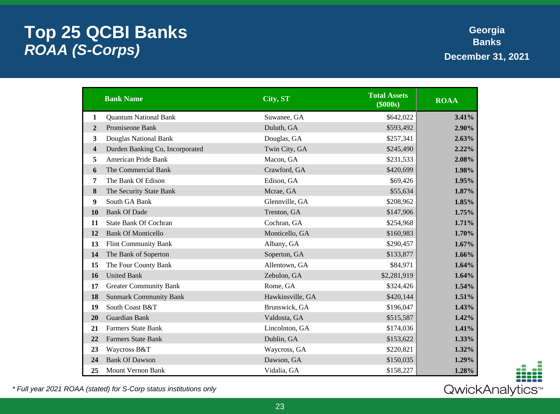## **Top 25 QCBI Banks ROAA (S-Corps)**

**Georgia Banks December 31, 2021**

|                         | <b>Bank Name</b>                | City, ST         | <b>Total Assets</b><br>(\$000s) | <b>ROAA</b> |
|-------------------------|---------------------------------|------------------|---------------------------------|-------------|
| 1                       | <b>Quantum National Bank</b>    | Suwanee, GA      | \$642,022                       | 3.41%       |
| $\overline{2}$          | Promiseone Bank                 | Duluth, GA       | \$593,492                       | 2.90%       |
| 3                       | Douglas National Bank           | Douglas, GA      | \$257,341                       | 2.63%       |
| $\overline{\mathbf{4}}$ | Durden Banking Co, Incorporated | Twin City, GA    | \$245,490                       | 2.22%       |
| 5                       | <b>American Pride Bank</b>      | Macon, GA        | \$231,533                       | 2.08%       |
| 6                       | The Commercial Bank             | Crawford, GA     | \$420,699                       | 1.98%       |
| 7                       | The Bank Of Edison              | Edison, GA       | \$69,426                        | 1.95%       |
| 8                       | The Security State Bank         | Mcrae, GA        | \$55,634                        | 1.87%       |
| 9                       | South GA Bank                   | Glennville, GA   | \$208,962                       | 1.85%       |
| 10                      | <b>Bank Of Dade</b>             | Trenton, GA      | \$147,906                       | 1.75%       |
| 11                      | <b>State Bank Of Cochran</b>    | Cochran, GA      | \$254,968                       | 1.71%       |
| 12                      | <b>Bank Of Monticello</b>       | Monticello, GA   | \$160,983                       | 1.70%       |
| 13                      | <b>Flint Community Bank</b>     | Albany, GA       | \$290,457                       | 1.67%       |
| 14                      | The Bank of Soperton            | Soperton, GA     | \$133,877                       | 1.66%       |
| 15                      | The Four County Bank            | Allentown, GA    | \$84,971                        | 1.64%       |
| 16                      | <b>United Bank</b>              | Zebulon, GA      | \$2,281,919                     | 1.64%       |
| 17                      | <b>Greater Community Bank</b>   | Rome, GA         | \$324,426                       | 1.54%       |
| 18                      | <b>Sunmark Community Bank</b>   | Hawkinsville, GA | \$420,144                       | 1.51%       |
| 19                      | South Coast B&T                 | Brunswick, GA    | \$196,047                       | 1.43%       |
| 20                      | Guardian Bank                   | Valdosta, GA     | \$515,587                       | 1.42%       |
| 21                      | <b>Farmers State Bank</b>       | Lincolnton, GA   | \$174,036                       | 1.41%       |
| 22                      | <b>Farmers State Bank</b>       | Dublin, GA       | \$153,622                       | 1.33%       |
| 23                      | Waycross B&T                    | Waycross, GA     | \$220,821                       | 1.32%       |
| 24                      | <b>Bank Of Dawson</b>           | Dawson, GA       | \$150,035                       | 1.29%       |
| 25                      | <b>Mount Vernon Bank</b>        | Vidalia, GA      | \$158,227                       | 1.28%       |

\* Full year 2021 ROAA (stated) for S-Corp status institutions only

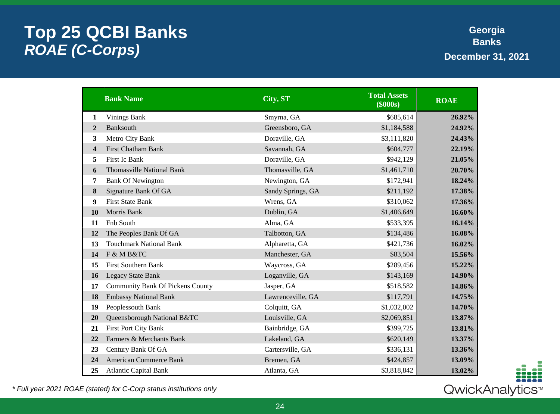## **Top 25 QCBI Banks ROAE (C-Corps)**

**Georgia Banks December 31, 2021**

|                | <b>Bank Name</b>                        | City, ST          | <b>Total Assets</b><br>$($ \$000s $)$ | <b>ROAE</b> |
|----------------|-----------------------------------------|-------------------|---------------------------------------|-------------|
| $\mathbf{1}$   | <b>Vinings Bank</b>                     | Smyrna, GA        | \$685,614                             | 26.92%      |
| $\overline{2}$ | <b>Banksouth</b>                        | Greensboro, GA    | \$1,184,588                           | 24.92%      |
| 3              | Metro City Bank                         | Doraville, GA     | \$3,111,820                           | 24.43%      |
| 4              | <b>First Chatham Bank</b>               | Savannah, GA      | \$604,777                             | 22.19%      |
| 5              | First Ic Bank                           | Doraville, GA     | \$942,129                             | 21.05%      |
| 6              | <b>Thomasville National Bank</b>        | Thomasville, GA   | \$1,461,710                           | 20.70%      |
| 7              | <b>Bank Of Newington</b>                | Newington, GA     | \$172,941                             | 18.24%      |
| 8              | Signature Bank Of GA                    | Sandy Springs, GA | \$211,192                             | 17.38%      |
| 9              | <b>First State Bank</b>                 | Wrens, GA         | \$310,062                             | 17.36%      |
| 10             | Morris Bank                             | Dublin, GA        | \$1,406,649                           | 16.60%      |
| 11             | Fnb South                               | Alma, GA          | \$533,395                             | 16.14%      |
| 12             | The Peoples Bank Of GA                  | Talbotton, GA     | \$134,486                             | 16.08%      |
| 13             | <b>Touchmark National Bank</b>          | Alpharetta, GA    | \$421,736                             | 16.02%      |
| 14             | F & M B&TC                              | Manchester, GA    | \$83,504                              | 15.56%      |
| 15             | <b>First Southern Bank</b>              | Waycross, GA      | \$289,456                             | 15.22%      |
| 16             | <b>Legacy State Bank</b>                | Loganville, GA    | \$143,169                             | 14.90%      |
| 17             | <b>Community Bank Of Pickens County</b> | Jasper, GA        | \$518,582                             | 14.86%      |
| 18             | <b>Embassy National Bank</b>            | Lawrenceville, GA | \$117,791                             | 14.75%      |
| 19             | Peoplessouth Bank                       | Colquitt, GA      | \$1,032,002                           | 14.70%      |
| 20             | Queensborough National B&TC             | Louisville, GA    | \$2,069,851                           | 13.87%      |
| 21             | <b>First Port City Bank</b>             | Bainbridge, GA    | \$399,725                             | 13.81%      |
| 22             | Farmers & Merchants Bank                | Lakeland, GA      | \$620,149                             | 13.37%      |
| 23             | Century Bank Of GA                      | Cartersville, GA  | \$336,131                             | 13.36%      |
| 24             | <b>American Commerce Bank</b>           | Bremen, GA        | \$424,857                             | 13.09%      |
| 25             | <b>Atlantic Capital Bank</b>            | Atlanta, GA       | \$3,818,842                           | 13.02%      |

\* Full year 2021 ROAE (stated) for C-Corp status institutions only

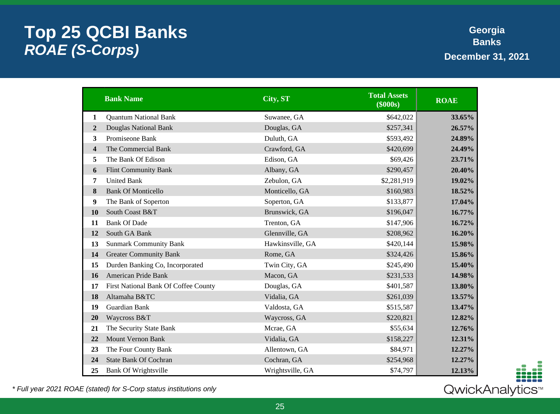## **Top 25 QCBI Banks ROAE (S-Corps)**

**Georgia Banks December 31, 2021**

|                | <b>Bank Name</b>                     | City, ST         | <b>Total Assets</b><br>(\$000s) | <b>ROAE</b> |
|----------------|--------------------------------------|------------------|---------------------------------|-------------|
| 1              | <b>Quantum National Bank</b>         | Suwanee, GA      | \$642,022                       | 33.65%      |
| $\overline{2}$ | Douglas National Bank                | Douglas, GA      | \$257,341                       | 26.57%      |
| 3              | Promiseone Bank                      | Duluth, GA       | \$593,492                       | 24.89%      |
| 4              | The Commercial Bank                  | Crawford, GA     | \$420,699                       | 24.49%      |
| 5              | The Bank Of Edison                   | Edison, GA       | \$69,426                        | 23.71%      |
| 6              | <b>Flint Community Bank</b>          | Albany, GA       | \$290,457                       | 20.40%      |
| 7              | <b>United Bank</b>                   | Zebulon, GA      | \$2,281,919                     | 19.02%      |
| 8              | <b>Bank Of Monticello</b>            | Monticello, GA   | \$160,983                       | 18.52%      |
| 9              | The Bank of Soperton                 | Soperton, GA     | \$133,877                       | 17.04%      |
| 10             | South Coast B&T                      | Brunswick, GA    | \$196,047                       | 16.77%      |
| 11             | <b>Bank Of Dade</b>                  | Trenton, GA      | \$147,906                       | 16.72%      |
| 12             | South GA Bank                        | Glennville, GA   | \$208,962                       | 16.20%      |
| 13             | <b>Sunmark Community Bank</b>        | Hawkinsville, GA | \$420,144                       | 15.98%      |
| 14             | <b>Greater Community Bank</b>        | Rome, GA         | \$324,426                       | 15.86%      |
| 15             | Durden Banking Co, Incorporated      | Twin City, GA    | \$245,490                       | 15.40%      |
| 16             | American Pride Bank                  | Macon, GA        | \$231,533                       | 14.98%      |
| 17             | First National Bank Of Coffee County | Douglas, GA      | \$401,587                       | 13.80%      |
| 18             | Altamaha B&TC                        | Vidalia, GA      | \$261,039                       | 13.57%      |
| 19             | Guardian Bank                        | Valdosta, GA     | \$515,587                       | 13.47%      |
| 20             | Waycross B&T                         | Waycross, GA     | \$220,821                       | 12.82%      |
| 21             | The Security State Bank              | Mcrae, GA        | \$55,634                        | 12.76%      |
| 22             | <b>Mount Vernon Bank</b>             | Vidalia, GA      | \$158,227                       | 12.31%      |
| 23             | The Four County Bank                 | Allentown, GA    | \$84,971                        | 12.27%      |
| 24             | <b>State Bank Of Cochran</b>         | Cochran, GA      | \$254,968                       | 12.27%      |
| 25             | <b>Bank Of Wrightsville</b>          | Wrightsville, GA | \$74,797                        | 12.13%      |

\* Full year 2021 ROAE (stated) for S-Corp status institutions only

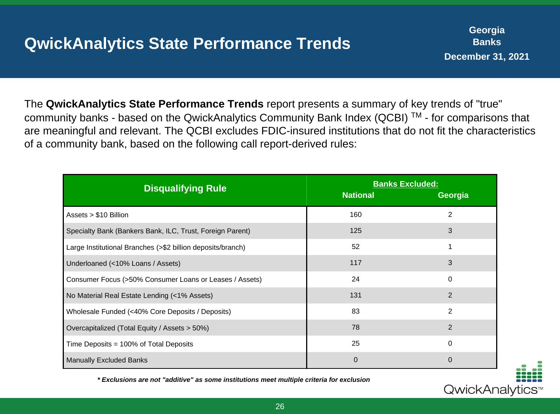## **QwickAnalytics State Performance Trends**

The **QwickAnalytics State Performance Trends** report presents a summary of key trends of "true" community banks - based on the QwickAnalytics Community Bank Index (QCBI)<sup>™</sup> - for comparisons that are meaningful and relevant. The QCBI excludes FDIC-insured institutions that do not fit the characteristics of a community bank, based on the following call report-derived rules:

| <b>Disqualifying Rule</b>                                   | <b>Banks Excluded:</b><br><b>National</b> | Georgia        |
|-------------------------------------------------------------|-------------------------------------------|----------------|
| Assets $> $10$ Billion                                      | 160                                       | $\overline{2}$ |
| Specialty Bank (Bankers Bank, ILC, Trust, Foreign Parent)   | 125                                       | 3              |
| Large Institutional Branches (>\$2 billion deposits/branch) | 52                                        |                |
| Underloaned (<10% Loans / Assets)                           | 117                                       | 3              |
| Consumer Focus (>50% Consumer Loans or Leases / Assets)     | 24                                        | $\mathbf 0$    |
| No Material Real Estate Lending (<1% Assets)                | 131                                       | 2              |
| Wholesale Funded (<40% Core Deposits / Deposits)            | 83                                        | $\overline{2}$ |
| Overcapitalized (Total Equity / Assets > 50%)               | 78                                        | $\overline{2}$ |
| Time Deposits = $100\%$ of Total Deposits                   | 25                                        | $\mathbf 0$    |
| <b>Manually Excluded Banks</b>                              | $\overline{0}$                            | $\overline{0}$ |



**\* Exclusions are not "additive" as some institutions meet multiple criteria for exclusion**